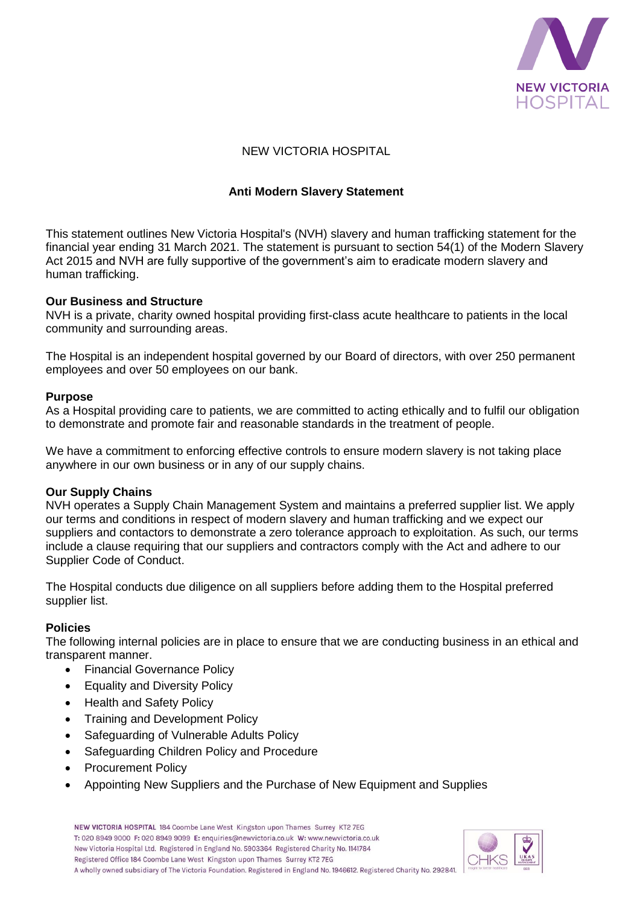

# NEW VICTORIA HOSPITAL

# **Anti Modern Slavery Statement**

This statement outlines New Victoria Hospital's (NVH) slavery and human trafficking statement for the financial year ending 31 March 2021. The statement is pursuant to section 54(1) of the Modern Slavery Act 2015 and NVH are fully supportive of the government's aim to eradicate modern slavery and human trafficking.

### **Our Business and Structure**

NVH is a private, charity owned hospital providing first-class acute healthcare to patients in the local community and surrounding areas.

The Hospital is an independent hospital governed by our Board of directors, with over 250 permanent employees and over 50 employees on our bank.

### **Purpose**

As a Hospital providing care to patients, we are committed to acting ethically and to fulfil our obligation to demonstrate and promote fair and reasonable standards in the treatment of people.

We have a commitment to enforcing effective controls to ensure modern slavery is not taking place anywhere in our own business or in any of our supply chains.

## **Our Supply Chains**

NVH operates a Supply Chain Management System and maintains a preferred supplier list. We apply our terms and conditions in respect of modern slavery and human trafficking and we expect our suppliers and contactors to demonstrate a zero tolerance approach to exploitation. As such, our terms include a clause requiring that our suppliers and contractors comply with the Act and adhere to our Supplier Code of Conduct.

The Hospital conducts due diligence on all suppliers before adding them to the Hospital preferred supplier list.

## **Policies**

The following internal policies are in place to ensure that we are conducting business in an ethical and transparent manner.

- Financial Governance Policy
- Equality and Diversity Policy
- Health and Safety Policy
- Training and Development Policy
- Safeguarding of Vulnerable Adults Policy
- Safeguarding Children Policy and Procedure
- Procurement Policy
- Appointing New Suppliers and the Purchase of New Equipment and Supplies

NEW VICTORIA HOSPITAL 184 Coombe Lane West Kingston upon Thames Surrey KT2 7EG T: 020 8949 9000 F: 020 8949 9099 E: enquiries@newvictoria.co.uk W: www.newvictoria.co.uk New Victoria Hospital Ltd. Registered in England No. 5903364 Registered Charity No. 1141784 Registered Office 184 Coombe Lane West Kingston upon Thames Surrey KT2 7EG A wholly owned subsidiary of The Victoria Foundation. Registered in England No. 1946612. Registered Charity No. 292841.